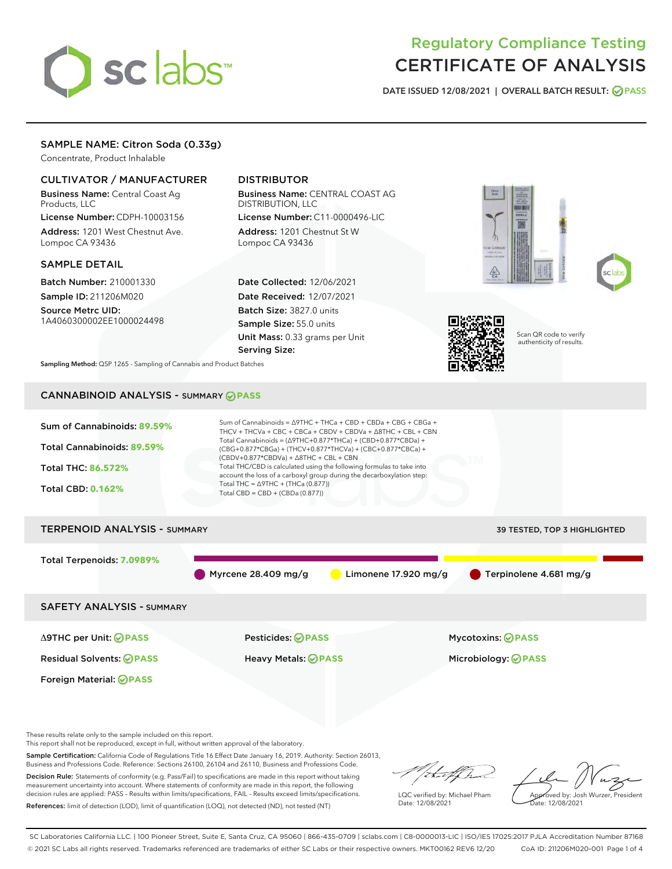

# Regulatory Compliance Testing CERTIFICATE OF ANALYSIS

DATE ISSUED 12/08/2021 | OVERALL BATCH RESULT: @ PASS

# SAMPLE NAME: Citron Soda (0.33g)

Concentrate, Product Inhalable

## CULTIVATOR / MANUFACTURER

Business Name: Central Coast Ag Products, LLC

License Number: CDPH-10003156 Address: 1201 West Chestnut Ave. Lompoc CA 93436

### SAMPLE DETAIL

Batch Number: 210001330 Sample ID: 211206M020

Source Metrc UID: 1A4060300002EE1000024498

# DISTRIBUTOR

Business Name: CENTRAL COAST AG DISTRIBUTION, LLC License Number: C11-0000496-LIC

Address: 1201 Chestnut St W Lompoc CA 93436

Date Collected: 12/06/2021 Date Received: 12/07/2021 Batch Size: 3827.0 units Sample Size: 55.0 units Unit Mass: 0.33 grams per Unit Serving Size:







Scan QR code to verify authenticity of results.

Sampling Method: QSP 1265 - Sampling of Cannabis and Product Batches

# CANNABINOID ANALYSIS - SUMMARY **PASS**



These results relate only to the sample included on this report.

This report shall not be reproduced, except in full, without written approval of the laboratory.

Sample Certification: California Code of Regulations Title 16 Effect Date January 16, 2019. Authority: Section 26013, Business and Professions Code. Reference: Sections 26100, 26104 and 26110, Business and Professions Code.

Decision Rule: Statements of conformity (e.g. Pass/Fail) to specifications are made in this report without taking measurement uncertainty into account. Where statements of conformity are made in this report, the following decision rules are applied: PASS – Results within limits/specifications, FAIL – Results exceed limits/specifications. References: limit of detection (LOD), limit of quantification (LOQ), not detected (ND), not tested (NT)

that for

LQC verified by: Michael Pham Date: 12/08/2021

Approved by: Josh Wurzer, President ate: 12/08/2021

SC Laboratories California LLC. | 100 Pioneer Street, Suite E, Santa Cruz, CA 95060 | 866-435-0709 | sclabs.com | C8-0000013-LIC | ISO/IES 17025:2017 PJLA Accreditation Number 87168 © 2021 SC Labs all rights reserved. Trademarks referenced are trademarks of either SC Labs or their respective owners. MKT00162 REV6 12/20 CoA ID: 211206M020-001 Page 1 of 4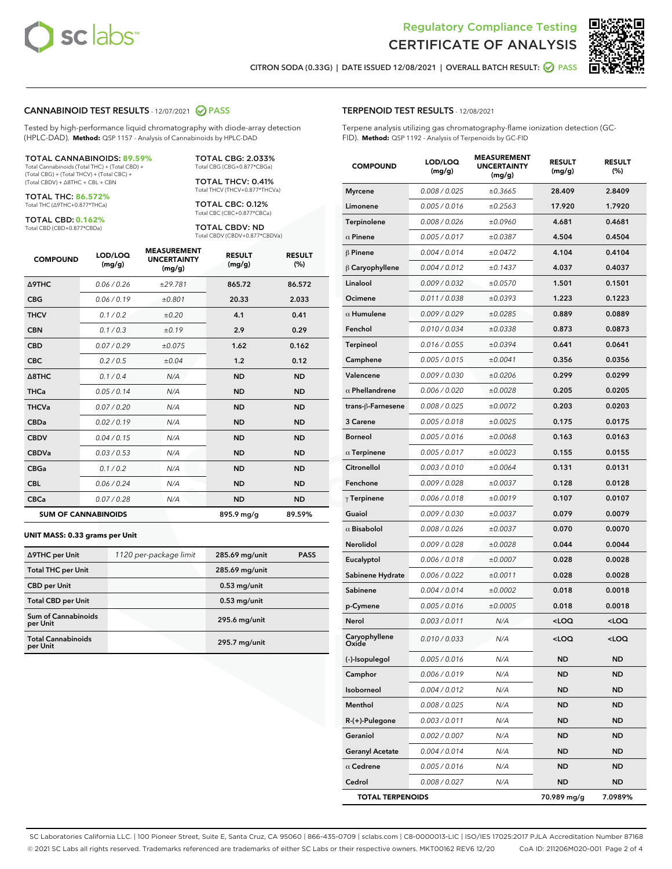

Terpene analysis utilizing gas chromatography-flame ionization detection (GC-

MEACUREMENT



CITRON SODA (0.33G) | DATE ISSUED 12/08/2021 | OVERALL BATCH RESULT: 2 PASS

TERPENOID TEST RESULTS - 12/08/2021

FID). **Method:** QSP 1192 - Analysis of Terpenoids by GC-FID

#### CANNABINOID TEST RESULTS - 12/07/2021 2 PASS

Tested by high-performance liquid chromatography with diode-array detection (HPLC-DAD). **Method:** QSP 1157 - Analysis of Cannabinoids by HPLC-DAD

#### TOTAL CANNABINOIDS: **89.59%**

Total Cannabinoids (Total THC) + (Total CBD) + (Total CBG) + (Total THCV) + (Total CBC) + (Total CBDV) + ∆8THC + CBL + CBN

TOTAL THC: **86.572%** Total THC (∆9THC+0.877\*THCa)

TOTAL CBD: **0.162%**

Total CBD (CBD+0.877\*CBDa)

TOTAL CBG: 2.033% Total CBG (CBG+0.877\*CBGa)

TOTAL THCV: 0.41% Total THCV (THCV+0.877\*THCVa)

TOTAL CBC: 0.12% Total CBC (CBC+0.877\*CBCa)

TOTAL CBDV: ND Total CBDV (CBDV+0.877\*CBDVa)

| <b>COMPOUND</b>            | LOD/LOQ<br>(mg/g) | <b>MEASUREMENT</b><br><b>UNCERTAINTY</b><br>(mg/g) | <b>RESULT</b><br>(mg/g) | <b>RESULT</b><br>(%) |
|----------------------------|-------------------|----------------------------------------------------|-------------------------|----------------------|
| <b>A9THC</b>               | 0.06/0.26         | ±29.781                                            | 865.72                  | 86.572               |
| <b>CBG</b>                 | 0.06/0.19         | ±0.801                                             | 20.33                   | 2.033                |
| <b>THCV</b>                | 0.1 / 0.2         | ±0.20                                              | 4.1                     | 0.41                 |
| <b>CBN</b>                 | 0.1/0.3           | ±0.19                                              | 2.9                     | 0.29                 |
| <b>CBD</b>                 | 0.07/0.29         | ±0.075                                             | 1.62                    | 0.162                |
| <b>CBC</b>                 | 0.2 / 0.5         | ±0.04                                              | 1.2                     | 0.12                 |
| $\triangle$ 8THC           | 0.1 / 0.4         | N/A                                                | <b>ND</b>               | <b>ND</b>            |
| <b>THCa</b>                | 0.05/0.14         | N/A                                                | <b>ND</b>               | <b>ND</b>            |
| <b>THCVa</b>               | 0.07 / 0.20       | N/A                                                | <b>ND</b>               | <b>ND</b>            |
| <b>CBDa</b>                | 0.02/0.19         | N/A                                                | <b>ND</b>               | <b>ND</b>            |
| <b>CBDV</b>                | 0.04 / 0.15       | N/A                                                | <b>ND</b>               | <b>ND</b>            |
| <b>CBDVa</b>               | 0.03 / 0.53       | N/A                                                | <b>ND</b>               | <b>ND</b>            |
| <b>CBGa</b>                | 0.1/0.2           | N/A                                                | <b>ND</b>               | <b>ND</b>            |
| <b>CBL</b>                 | 0.06 / 0.24       | N/A                                                | <b>ND</b>               | <b>ND</b>            |
| <b>CBCa</b>                | 0.07/0.28         | N/A                                                | <b>ND</b>               | <b>ND</b>            |
| <b>SUM OF CANNABINOIDS</b> |                   |                                                    | 895.9 mg/g              | 89.59%               |

#### **UNIT MASS: 0.33 grams per Unit**

| ∆9THC per Unit                         | 1120 per-package limit | 285.69 mg/unit | <b>PASS</b> |
|----------------------------------------|------------------------|----------------|-------------|
| <b>Total THC per Unit</b>              |                        | 285.69 mg/unit |             |
| <b>CBD per Unit</b>                    |                        | $0.53$ mg/unit |             |
| <b>Total CBD per Unit</b>              |                        | $0.53$ mg/unit |             |
| <b>Sum of Cannabinoids</b><br>per Unit |                        | 295.6 mg/unit  |             |
| <b>Total Cannabinoids</b><br>per Unit  |                        | 295.7 mg/unit  |             |

| <b>COMPOUND</b>         | LOD/LOQ<br>(mg/g) | WENT<br><b>UNCERTAINTY</b><br>(mg/g) | <b>RESULT</b><br>(mg/g)                         | <b>RESULT</b><br>(%) |
|-------------------------|-------------------|--------------------------------------|-------------------------------------------------|----------------------|
| <b>Myrcene</b>          | 0.008 / 0.025     | ±0.3665                              | 28.409                                          | 2.8409               |
| Limonene                | 0.005 / 0.016     | ±0.2563                              | 17.920                                          | 1.7920               |
| Terpinolene             | 0.008 / 0.026     | ±0.0960                              | 4.681                                           | 0.4681               |
| $\alpha$ Pinene         | 0.005 / 0.017     | ±0.0387                              | 4.504                                           | 0.4504               |
| $\beta$ Pinene          | 0.004 / 0.014     | ±0.0472                              | 4.104                                           | 0.4104               |
| $\beta$ Caryophyllene   | 0.004 / 0.012     | ±0.1437                              | 4.037                                           | 0.4037               |
| Linalool                | 0.009 / 0.032     | ±0.0570                              | 1.501                                           | 0.1501               |
| Ocimene                 | 0.011/0.038       | ±0.0393                              | 1.223                                           | 0.1223               |
| $\alpha$ Humulene       | 0.009/0.029       | ±0.0285                              | 0.889                                           | 0.0889               |
| Fenchol                 | 0.010 / 0.034     | ±0.0338                              | 0.873                                           | 0.0873               |
| <b>Terpineol</b>        | 0.016 / 0.055     | ±0.0394                              | 0.641                                           | 0.0641               |
| Camphene                | 0.005 / 0.015     | ±0.0041                              | 0.356                                           | 0.0356               |
| Valencene               | 0.009 / 0.030     | ±0.0206                              | 0.299                                           | 0.0299               |
| $\alpha$ Phellandrene   | 0.006 / 0.020     | ±0.0028                              | 0.205                                           | 0.0205               |
| trans-ß-Farnesene       | 0.008 / 0.025     | ±0.0072                              | 0.203                                           | 0.0203               |
| 3 Carene                | 0.005 / 0.018     | ±0.0025                              | 0.175                                           | 0.0175               |
| <b>Borneol</b>          | 0.005 / 0.016     | ±0.0068                              | 0.163                                           | 0.0163               |
| $\alpha$ Terpinene      | 0.005 / 0.017     | ±0.0023                              | 0.155                                           | 0.0155               |
| Citronellol             | 0.003 / 0.010     | ±0.0064                              | 0.131                                           | 0.0131               |
| Fenchone                | 0.009 / 0.028     | ±0.0037                              | 0.128                                           | 0.0128               |
| $\gamma$ Terpinene      | 0.006 / 0.018     | ±0.0019                              | 0.107                                           | 0.0107               |
| Guaiol                  | 0.009 / 0.030     | ±0.0037                              | 0.079                                           | 0.0079               |
| $\alpha$ Bisabolol      | 0.008 / 0.026     | ±0.0037                              | 0.070                                           | 0.0070               |
| Nerolidol               | 0.009 / 0.028     | ±0.0028                              | 0.044                                           | 0.0044               |
| Eucalyptol              | 0.006 / 0.018     | ±0.0007                              | 0.028                                           | 0.0028               |
| Sabinene Hydrate        | 0.006 / 0.022     | ±0.0011                              | 0.028                                           | 0.0028               |
| Sabinene                | 0.004 / 0.014     | ±0.0002                              | 0.018                                           | 0.0018               |
| p-Cymene                | 0.005 / 0.016     | ±0.0005                              | 0.018                                           | 0.0018               |
| Nerol                   | 0.003 / 0.011     | N/A                                  | <loq< th=""><th><loq< th=""></loq<></th></loq<> | <loq< th=""></loq<>  |
| Caryophyllene<br>Oxide  | 0.010 / 0.033     | N/A                                  | <loq< th=""><th><loq< th=""></loq<></th></loq<> | <loq< th=""></loq<>  |
| (-)-Isopulegol          | 0.005 / 0.016     | N/A                                  | ND                                              | ND                   |
| Camphor                 | 0.006 / 0.019     | N/A                                  | ND                                              | ND                   |
| Isoborneol              | 0.004 / 0.012     | N/A                                  | ND                                              | ND                   |
| Menthol                 | 0.008 / 0.025     | N/A                                  | ND                                              | ND                   |
| R-(+)-Pulegone          | 0.003 / 0.011     | N/A                                  | ND                                              | ND                   |
| Geraniol                | 0.002 / 0.007     | N/A                                  | ND                                              | ND                   |
| <b>Geranyl Acetate</b>  | 0.004 / 0.014     | N/A                                  | ND                                              | ND                   |
| $\alpha$ Cedrene        | 0.005 / 0.016     | N/A                                  | <b>ND</b>                                       | ND                   |
| Cedrol                  | 0.008 / 0.027     | N/A                                  | ND                                              | ND                   |
| <b>TOTAL TERPENOIDS</b> |                   |                                      | 70.989 mg/g                                     | 7.0989%              |

SC Laboratories California LLC. | 100 Pioneer Street, Suite E, Santa Cruz, CA 95060 | 866-435-0709 | sclabs.com | C8-0000013-LIC | ISO/IES 17025:2017 PJLA Accreditation Number 87168 © 2021 SC Labs all rights reserved. Trademarks referenced are trademarks of either SC Labs or their respective owners. MKT00162 REV6 12/20 CoA ID: 211206M020-001 Page 2 of 4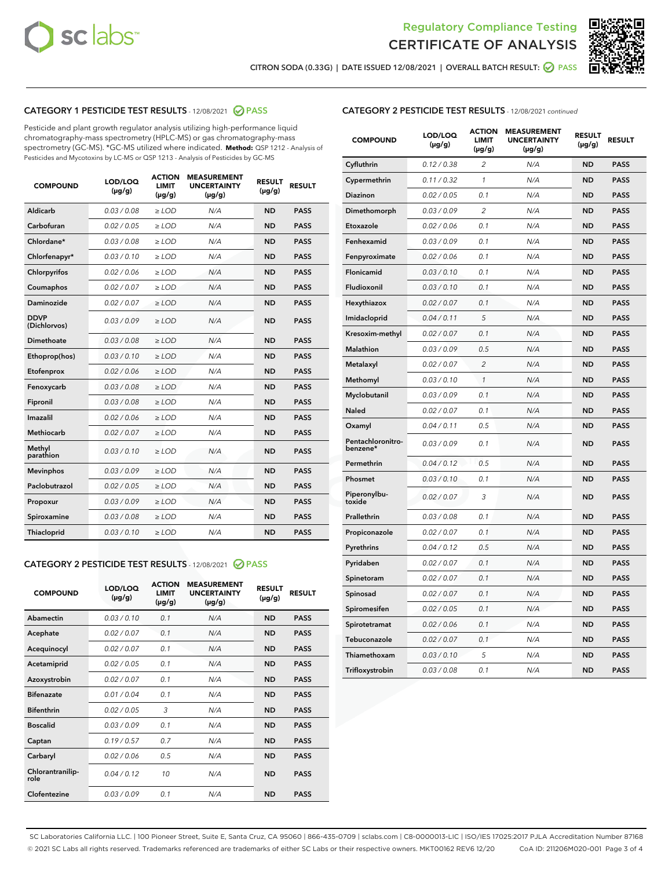



CITRON SODA (0.33G) | DATE ISSUED 12/08/2021 | OVERALL BATCH RESULT: @ PASS

# CATEGORY 1 PESTICIDE TEST RESULTS - 12/08/2021 2 PASS

Pesticide and plant growth regulator analysis utilizing high-performance liquid chromatography-mass spectrometry (HPLC-MS) or gas chromatography-mass spectrometry (GC-MS). \*GC-MS utilized where indicated. **Method:** QSP 1212 - Analysis of Pesticides and Mycotoxins by LC-MS or QSP 1213 - Analysis of Pesticides by GC-MS

| <b>COMPOUND</b>             | LOD/LOQ<br>$(\mu g/g)$ | <b>ACTION</b><br><b>LIMIT</b><br>$(\mu g/g)$ | <b>MEASUREMENT</b><br><b>UNCERTAINTY</b><br>$(\mu g/g)$ | <b>RESULT</b><br>$(\mu g/g)$ | <b>RESULT</b> |
|-----------------------------|------------------------|----------------------------------------------|---------------------------------------------------------|------------------------------|---------------|
| Aldicarb                    | 0.03 / 0.08            | $\ge$ LOD                                    | N/A                                                     | <b>ND</b>                    | <b>PASS</b>   |
| Carbofuran                  | 0.02/0.05              | $>$ LOD                                      | N/A                                                     | <b>ND</b>                    | <b>PASS</b>   |
| Chlordane*                  | 0.03 / 0.08            | $\ge$ LOD                                    | N/A                                                     | <b>ND</b>                    | <b>PASS</b>   |
| Chlorfenapyr*               | 0.03/0.10              | $\ge$ LOD                                    | N/A                                                     | <b>ND</b>                    | <b>PASS</b>   |
| Chlorpyrifos                | 0.02 / 0.06            | $\ge$ LOD                                    | N/A                                                     | <b>ND</b>                    | <b>PASS</b>   |
| Coumaphos                   | 0.02 / 0.07            | $>$ LOD                                      | N/A                                                     | <b>ND</b>                    | <b>PASS</b>   |
| Daminozide                  | 0.02 / 0.07            | $\ge$ LOD                                    | N/A                                                     | <b>ND</b>                    | <b>PASS</b>   |
| <b>DDVP</b><br>(Dichlorvos) | 0.03/0.09              | $\ge$ LOD                                    | N/A                                                     | <b>ND</b>                    | <b>PASS</b>   |
| <b>Dimethoate</b>           | 0.03 / 0.08            | $\ge$ LOD                                    | N/A                                                     | <b>ND</b>                    | <b>PASS</b>   |
| Ethoprop(hos)               | 0.03/0.10              | $>$ LOD                                      | N/A                                                     | <b>ND</b>                    | <b>PASS</b>   |
| Etofenprox                  | 0.02 / 0.06            | $\ge$ LOD                                    | N/A                                                     | <b>ND</b>                    | <b>PASS</b>   |
| Fenoxycarb                  | 0.03 / 0.08            | $>$ LOD                                      | N/A                                                     | <b>ND</b>                    | <b>PASS</b>   |
| Fipronil                    | 0.03 / 0.08            | $\ge$ LOD                                    | N/A                                                     | <b>ND</b>                    | <b>PASS</b>   |
| Imazalil                    | 0.02 / 0.06            | $\ge$ LOD                                    | N/A                                                     | <b>ND</b>                    | <b>PASS</b>   |
| Methiocarb                  | 0.02 / 0.07            | $\ge$ LOD                                    | N/A                                                     | <b>ND</b>                    | <b>PASS</b>   |
| Methyl<br>parathion         | 0.03/0.10              | $>$ LOD                                      | N/A                                                     | <b>ND</b>                    | <b>PASS</b>   |
| <b>Mevinphos</b>            | 0.03/0.09              | $>$ LOD                                      | N/A                                                     | <b>ND</b>                    | <b>PASS</b>   |
| Paclobutrazol               | 0.02 / 0.05            | $\ge$ LOD                                    | N/A                                                     | <b>ND</b>                    | <b>PASS</b>   |
| Propoxur                    | 0.03/0.09              | $\ge$ LOD                                    | N/A                                                     | <b>ND</b>                    | <b>PASS</b>   |
| Spiroxamine                 | 0.03 / 0.08            | $\ge$ LOD                                    | N/A                                                     | <b>ND</b>                    | <b>PASS</b>   |
| <b>Thiacloprid</b>          | 0.03/0.10              | $\ge$ LOD                                    | N/A                                                     | <b>ND</b>                    | <b>PASS</b>   |
|                             |                        |                                              |                                                         |                              |               |

# CATEGORY 2 PESTICIDE TEST RESULTS - 12/08/2021 @ PASS

| <b>COMPOUND</b>          | LOD/LOO<br>$(\mu g/g)$ | <b>ACTION</b><br>LIMIT<br>$(\mu g/g)$ | <b>MEASUREMENT</b><br><b>UNCERTAINTY</b><br>$(\mu g/g)$ | <b>RESULT</b><br>$(\mu g/g)$ | <b>RESULT</b> |  |
|--------------------------|------------------------|---------------------------------------|---------------------------------------------------------|------------------------------|---------------|--|
| Abamectin                | 0.03/0.10              | 0.1                                   | N/A                                                     | <b>ND</b>                    | <b>PASS</b>   |  |
| Acephate                 | 0.02/0.07              | 0.1                                   | N/A                                                     | <b>ND</b>                    | <b>PASS</b>   |  |
| Acequinocyl              | 0.02/0.07              | 0.1                                   | N/A                                                     | <b>ND</b>                    | <b>PASS</b>   |  |
| Acetamiprid              | 0.02/0.05              | 0.1                                   | N/A                                                     | <b>ND</b>                    | <b>PASS</b>   |  |
| Azoxystrobin             | 0.02/0.07              | 0.1                                   | N/A                                                     | <b>ND</b>                    | <b>PASS</b>   |  |
| <b>Bifenazate</b>        | 0.01/0.04              | 0.1                                   | N/A                                                     | <b>ND</b>                    | <b>PASS</b>   |  |
| <b>Bifenthrin</b>        | 0.02/0.05              | 3                                     | N/A                                                     | <b>ND</b>                    | <b>PASS</b>   |  |
| <b>Boscalid</b>          | 0.03/0.09              | 0.1                                   | N/A                                                     | <b>ND</b>                    | <b>PASS</b>   |  |
| Captan                   | 0.19/0.57              | 0.7                                   | N/A                                                     | <b>ND</b>                    | <b>PASS</b>   |  |
| Carbaryl                 | 0.02/0.06              | 0.5                                   | N/A                                                     | <b>ND</b>                    | <b>PASS</b>   |  |
| Chlorantranilip-<br>role | 0.04/0.12              | 10                                    | N/A                                                     | <b>ND</b>                    | <b>PASS</b>   |  |
| Clofentezine             | 0.03/0.09              | 0.1                                   | N/A                                                     | <b>ND</b>                    | <b>PASS</b>   |  |

| <b>CATEGORY 2 PESTICIDE TEST RESULTS</b> - 12/08/2021 continued |
|-----------------------------------------------------------------|
|                                                                 |

| <b>COMPOUND</b>               | LOD/LOQ<br>(µg/g) | <b>ACTION</b><br>LIMIT<br>$(\mu g/g)$ | <b>MEASUREMENT</b><br><b>UNCERTAINTY</b><br>$(\mu g/g)$ | <b>RESULT</b><br>(µg/g) | <b>RESULT</b> |
|-------------------------------|-------------------|---------------------------------------|---------------------------------------------------------|-------------------------|---------------|
| Cyfluthrin                    | 0.12 / 0.38       | 2                                     | N/A                                                     | <b>ND</b>               | <b>PASS</b>   |
| Cypermethrin                  | 0.11 / 0.32       | $\mathcal{I}$                         | N/A                                                     | <b>ND</b>               | <b>PASS</b>   |
| Diazinon                      | 0.02 / 0.05       | 0.1                                   | N/A                                                     | <b>ND</b>               | <b>PASS</b>   |
| Dimethomorph                  | 0.03 / 0.09       | 2                                     | N/A                                                     | <b>ND</b>               | <b>PASS</b>   |
| Etoxazole                     | 0.02 / 0.06       | 0.1                                   | N/A                                                     | <b>ND</b>               | <b>PASS</b>   |
| Fenhexamid                    | 0.03 / 0.09       | 0.1                                   | N/A                                                     | <b>ND</b>               | <b>PASS</b>   |
| Fenpyroximate                 | 0.02 / 0.06       | 0.1                                   | N/A                                                     | <b>ND</b>               | <b>PASS</b>   |
| Flonicamid                    | 0.03 / 0.10       | 0.1                                   | N/A                                                     | <b>ND</b>               | <b>PASS</b>   |
| Fludioxonil                   | 0.03 / 0.10       | 0.1                                   | N/A                                                     | <b>ND</b>               | <b>PASS</b>   |
| Hexythiazox                   | 0.02 / 0.07       | 0.1                                   | N/A                                                     | <b>ND</b>               | <b>PASS</b>   |
| Imidacloprid                  | 0.04 / 0.11       | 5                                     | N/A                                                     | <b>ND</b>               | <b>PASS</b>   |
| Kresoxim-methyl               | 0.02 / 0.07       | 0.1                                   | N/A                                                     | <b>ND</b>               | <b>PASS</b>   |
| Malathion                     | 0.03 / 0.09       | 0.5                                   | N/A                                                     | <b>ND</b>               | <b>PASS</b>   |
| Metalaxyl                     | 0.02 / 0.07       | $\overline{c}$                        | N/A                                                     | <b>ND</b>               | <b>PASS</b>   |
| Methomyl                      | 0.03 / 0.10       | $\mathcal{I}$                         | N/A                                                     | <b>ND</b>               | <b>PASS</b>   |
| Myclobutanil                  | 0.03 / 0.09       | 0.1                                   | N/A                                                     | <b>ND</b>               | <b>PASS</b>   |
| Naled                         | 0.02 / 0.07       | 0.1                                   | N/A                                                     | <b>ND</b>               | <b>PASS</b>   |
| Oxamyl                        | 0.04 / 0.11       | 0.5                                   | N/A                                                     | <b>ND</b>               | <b>PASS</b>   |
| Pentachloronitro-<br>benzene* | 0.03/0.09         | 0.1                                   | N/A                                                     | <b>ND</b>               | <b>PASS</b>   |
| Permethrin                    | 0.04 / 0.12       | 0.5                                   | N/A                                                     | <b>ND</b>               | <b>PASS</b>   |
| Phosmet                       | 0.03 / 0.10       | 0.1                                   | N/A                                                     | <b>ND</b>               | <b>PASS</b>   |
| Piperonylbu-<br>toxide        | 0.02 / 0.07       | 3                                     | N/A                                                     | <b>ND</b>               | <b>PASS</b>   |
| Prallethrin                   | 0.03 / 0.08       | 0.1                                   | N/A                                                     | <b>ND</b>               | <b>PASS</b>   |
| Propiconazole                 | 0.02 / 0.07       | 0.1                                   | N/A                                                     | <b>ND</b>               | <b>PASS</b>   |
| Pyrethrins                    | 0.04 / 0.12       | 0.5                                   | N/A                                                     | <b>ND</b>               | <b>PASS</b>   |
| Pyridaben                     | 0.02 / 0.07       | 0.1                                   | N/A                                                     | <b>ND</b>               | <b>PASS</b>   |
| Spinetoram                    | 0.02 / 0.07       | 0.1                                   | N/A                                                     | <b>ND</b>               | <b>PASS</b>   |
| Spinosad                      | 0.02 / 0.07       | 0.1                                   | N/A                                                     | <b>ND</b>               | <b>PASS</b>   |
| Spiromesifen                  | 0.02 / 0.05       | 0.1                                   | N/A                                                     | <b>ND</b>               | <b>PASS</b>   |
| Spirotetramat                 | 0.02 / 0.06       | 0.1                                   | N/A                                                     | <b>ND</b>               | <b>PASS</b>   |
| Tebuconazole                  | 0.02 / 0.07       | 0.1                                   | N/A                                                     | <b>ND</b>               | <b>PASS</b>   |
| Thiamethoxam                  | 0.03 / 0.10       | 5                                     | N/A                                                     | <b>ND</b>               | <b>PASS</b>   |
| Trifloxystrobin               | 0.03 / 0.08       | 0.1                                   | N/A                                                     | <b>ND</b>               | <b>PASS</b>   |

SC Laboratories California LLC. | 100 Pioneer Street, Suite E, Santa Cruz, CA 95060 | 866-435-0709 | sclabs.com | C8-0000013-LIC | ISO/IES 17025:2017 PJLA Accreditation Number 87168 © 2021 SC Labs all rights reserved. Trademarks referenced are trademarks of either SC Labs or their respective owners. MKT00162 REV6 12/20 CoA ID: 211206M020-001 Page 3 of 4